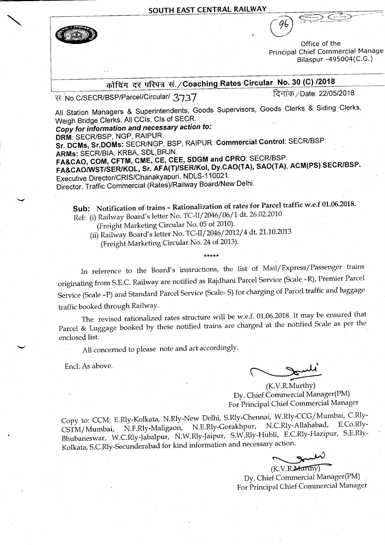SOUTH EAST CENTRAL RAILWAY



Office of the Principal Chief Commercial Manage Bilaspur -495004(C.G.)

## कोचिंग दर परिपत्र सं./Coaching Rates Circular No. 30 (C) /2018

स No.C/SECR/BSP/Parcel/Circular/ 3737

दिनांक / Date: 22/05/2018

All Station Managers & Superintendents, Goods Supervisors, Goods Clerks & Siding Clerks, Weigh Bridge Clerks. All CCIs, CIs of SECR.

Copy for information and necessary action to:

DRM: SECR/BSP, NGP, RAIPUR.

Sr. DCMs, Sr.DOMs: SECR/NGP, BSP, RAIPUR. Commercial Control: SECR/BSP: ARMs: SECR/BIA, KRBA, SDL, BRJN.

FA&CAO, COM, CFTM, CME, CE, CEE, SDGM and CPRO: SECR/BSP.

FA&CAO/WST/SER/KOL, Sr. AFA(T)/SER/Kol, Dy.CAO(TA), SAO(TA), ACM(PS) SECR/BSP. Executive Director/CRIS/Chanakyapuri, NDLS-110021.

Director, Traffic Commercial (Rates)/Railway Board/New Delhi.

Sub: Notification of trains - Rationalization of rates for Parcel traffic w.e.f 01.06.2018. Ref: (i) Railway Board's letter No. TC-II/2046/06/1 dt. 26.02.2010

(Freight Marketing Circular No. 05 of 2010).

(ii) Railway Board's letter No. TC-II/2046/2012/4 dt. 21.10.2013

(Freight Marketing Circular No. 24 of 2013).

In reference to the Board's instructions, the list of Mail/Express/Passenger trains originating from S.E.C. Railway are notified as Rajdhani Parcel Service (Scale -R), Premier Parcel Service (Scale -P) and Standard Parcel Service (Scale-S) for charging of Parcel traffic and luggage traffic booked through Railway.

The revised rationalized rates structure will be w.e.f. 01.06.2018. It may be ensured that Parcel & Luggage booked by these notified trains are charged at the notified Scale as per the enclosed list.

All concerned to please note and act accordingly.

Encl: As above.

(K.V.R.Murthy) Dy. Chief Commercial Manager(PM) For Principal Chief Commercial Manager

Copy to: CCM: E.Rly-Kolkata, N.Rly-New Delhi, S.Rly-Chennai, W.Rly-CCG/Mumbai, C.Rly-N.F.Rly-Maligaon, N.E.Rly-Gorakhpur, N.C.Rly-Allahabad, E.Co.Rly-CSTM/Mumbai, Bhubaneswar, W.C.Rly-Jabalpur, N.W.Rly-Jaipur, S.W.Rly-Hubli, E.C.Rly-Hazipur, S.E.Rly-Kolkata, S.C.Rly-Secunderabad for kind information and necessary action.

شبيه (K.V.R.Marthy)

Dy. Chief Commercial Manager(PM) For Principal Chief Commercial Manager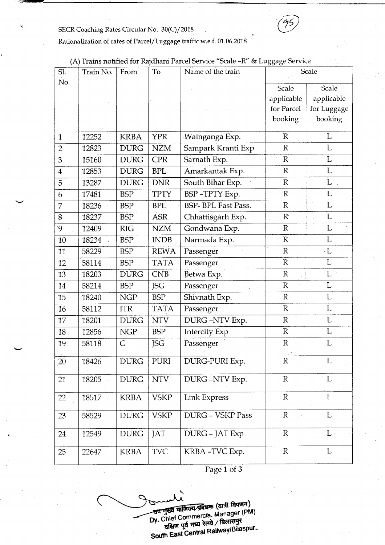## SECR Coaching Rates Circular No. 30(C)/2018



## Rationalization of rates of Parcel/Luggage traffic w.e.f. 01.06.2018

|                |           |             |             |                            | ັ             |              |
|----------------|-----------|-------------|-------------|----------------------------|---------------|--------------|
| SI.            | Train No. | From        | To          | Name of the train          |               | Scale        |
| No.            |           |             |             |                            | Scale         | Scale        |
|                |           |             |             |                            | applicable    | applicable   |
|                |           |             |             |                            | for Parcel    | for Luggage  |
|                |           |             |             |                            | booking       | booking      |
|                |           |             |             |                            |               |              |
| $\mathbf{1}$   | 12252     | <b>KRBA</b> | <b>YPR</b>  | Wainganga Exp.             | $\mathbb{R}$  | L            |
| $\overline{2}$ | 12823     | <b>DURG</b> | <b>NZM</b>  | Sampark Kranti Exp         | $\mathbb R$   | L            |
| 3              | 15160     | <b>DURG</b> | <b>CPR</b>  | Sarnath Exp.               | $\mathbb{R}$  | L            |
| $\overline{4}$ | 12853     | <b>DURG</b> | <b>BPL</b>  | Amarkantak Exp.            | R             | $\mathbf{L}$ |
| 5              | 13287     | <b>DURG</b> | <b>DNR</b>  | South Bihar Exp.           | $\mathbb{R}$  | L            |
| 6              | 17481     | <b>BSP</b>  | <b>TPTY</b> | BSP-TPTY Exp.              | $\mathbb{R}$  | L            |
| 7              | 18236     | <b>BSP</b>  | <b>BPL</b>  | <b>BSP- BPL Fast Pass.</b> | $\mathbb{R}$  | L            |
| 8              | 18237     | <b>BSP</b>  | <b>ASR</b>  | Chhattisgarh Exp.          | $R^+$         | L            |
| $\overline{9}$ | 12409     | <b>RIG</b>  | <b>NZM</b>  | Gondwana Exp.              | $\mathbb{R}$  | L            |
| 10             | 18234     | <b>BSP</b>  | <b>INDB</b> | Narmada Exp.               | $\mathbb{R}$  | L            |
| 11             | 58229     | <b>BSP</b>  | <b>REWA</b> | Passenger                  | $\mathbb{R}$  | $\cdot L$    |
| 12             | 58114     | <b>BSP</b>  | <b>TATA</b> | Passenger                  | ${\mathbb R}$ | L            |
| 13             | 18203     | <b>DURG</b> | CNB         | Betwa Exp.                 | $\mathbb{R}$  | $\mathbf L$  |
| 14             | 58214     | <b>BSP</b>  | <b>JSG</b>  | Passenger                  | $\mathbb{R}$  | L            |
| 15             | 18240     | <b>NGP</b>  | <b>BSP</b>  | Shivnath Exp.              | $\mathbb R$   | L            |
| 16             | 58112     | <b>ITR</b>  | <b>TATA</b> | Passenger                  | $R^+$         | $\mathbf{L}$ |
| 17             | 18201     | <b>DURG</b> | <b>NTV</b>  | DURG-NTV Exp.              | ${\mathbb R}$ | $\mathbf L$  |
| 18             | 12856     | <b>NGP</b>  | <b>BSP</b>  | <b>Intercity Exp</b>       | $\mathbb R$   | $L$ .        |
| 19             | 58118     | G           | JSG         | Passenger                  | ${\mathbb R}$ | L            |
| 20             | 18426     | <b>DURG</b> | PURI        | DURG-PURI Exp.             | $\mathbb{R}$  | L            |
| 21             | 18205     | <b>DURG</b> | <b>NTV</b>  | DURG-NTV Exp.              | ${\mathbb R}$ | L            |
| 22             | 18517     | <b>KRBA</b> | <b>VSKP</b> | Link Express               | $\mathbb{R}$  | $\mathbf{L}$ |
| 23             | 58529     | <b>DURG</b> | <b>VSKP</b> | DURG - VSKP Pass           | ${\mathbb R}$ | L            |
| 24             | 12549     | <b>DURG</b> | <b>JAT</b>  | DURG - JAT Exp             | $\mathbb{R}$  | $L \cdot$    |
| 25             | 22647     | <b>KRBA</b> | <b>TVC</b>  | KRBA-TVC Exp.              | $\mathbb{R}$  | L            |
|                |           |             |             |                            |               |              |

(A) Trains notified for Rajdhani Parcel Service "Scale -R" & Luggage Service

Page 1 of 3

उप मुख्य वाणिज्य प्रबंधक (यात्री विपणन) Manager (PM) South East Central Railway. Chief Commercia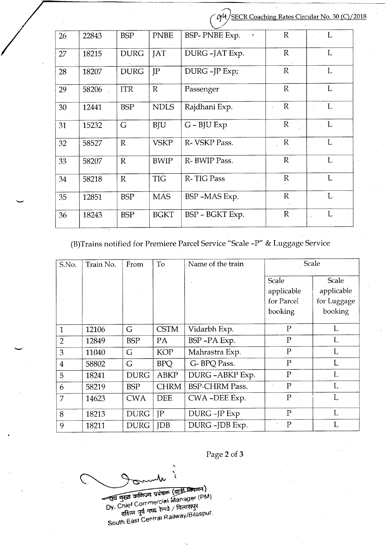COUSECR Coaching Rates Circular No. 30 (C)/2018

| 26    | 22843 | <b>BSP</b>   | <b>PNBE</b>  | BSP- PNBE Exp.  | $\mathbb{R}$ |              |
|-------|-------|--------------|--------------|-----------------|--------------|--------------|
| 27    | 18215 | <b>DURG</b>  | <b>JAT</b>   | DURG-JAT Exp.   | $\mathbb{R}$ | L            |
| 28    | 18207 | <b>DURG</b>  | JP           | DURG-JP Exp;    | $\mathbb{R}$ | L            |
| 29    | 58206 | <b>ITR</b>   | $\mathbb{R}$ | Passenger       | $\mathbb{R}$ | L            |
| 30    | 12441 | <b>BSP</b>   | <b>NDLS</b>  | Rajdhani Exp.   | $\mathbb{R}$ | $L^{\pm}$    |
| 31    | 15232 | G            | <b>BJU</b>   | $G - B$ JU Exp  | $\mathbb{R}$ | L            |
| 32    | 58527 | $\mathbb{R}$ | <b>VSKP</b>  | R-VSKP Pass.    | $\mathbb{R}$ | L            |
| 33    | 58207 | $\mathbb{R}$ | <b>BWIP</b>  | R-BWIP Pass.    | $R^{\circ}$  | $\mathbf{L}$ |
| 34    | 58218 | $\mathbb{R}$ | <b>TIG</b>   | R-TIG Pass      | $\mathbb{R}$ | L            |
| 35    | 12851 | <b>BSP</b>   | <b>MAS</b>   | BSP-MAS Exp.    | $\mathbb{R}$ | Ľ            |
| $-36$ | 18243 | <b>BSP</b>   | <b>BGKT</b>  | BSP - BGKT Exp. | $R_{\odot}$  | L            |

## (B)Trains notified for Premiere Parcel Service "Scale -P" & Luggage Service

| S.No.          | Train No. | From        | To          | Name of the train     | Scale          |               |
|----------------|-----------|-------------|-------------|-----------------------|----------------|---------------|
|                |           |             |             |                       | Scale          | Scale         |
|                |           |             |             |                       | applicable     | applicable    |
|                |           |             |             |                       | for Parcel     | for Luggage   |
|                |           |             |             |                       | booking        | booking       |
|                |           |             |             |                       |                |               |
| $\mathbf{1}$   | 12106     | G           | <b>CSTM</b> | Vidarbh Exp.          | $\mathbf{P}$   | L             |
| $\overline{2}$ | 12849     | <b>BSP</b>  | PA          | BSP-PA Exp.           | $P_{\cdot}$    | L             |
| 3              | 11040     | G           | <b>KOP</b>  | Mahrastra Exp.        | $\mathbf{P}$   | L             |
| $\overline{4}$ | 58802     | G           | <b>BPQ</b>  | G-BPQ Pass.           | $\mathbf{P}$   | L             |
| 5              | 18241     | <b>DURG</b> | <b>ABKP</b> | DURG-ABKP Exp.        | $\mathbf{P}$   | L             |
| 6              | 58219     | <b>BSP</b>  | <b>CHRM</b> | <b>BSP-CHRM Pass.</b> | $\mathbf{P}$   | L             |
| 7              | 14623     | <b>CWA</b>  | <b>DEE</b>  | CWA-DEE Exp.          | $\mathbf P$    | L             |
| 8              | 18213     | <b>DURG</b> | IP          | DURG-JP Exp           | $\mathbf{P}$   | L             |
| 9              | 18211     | <b>DURG</b> | <b>IDB</b>  | DURG-JDB Exp.         | $\overline{P}$ | . $\mathbf L$ |

Page 2 of 3

(PM) Dy. Chief Commercial / बिलासपुर South East Central Railway/Bilaspur.